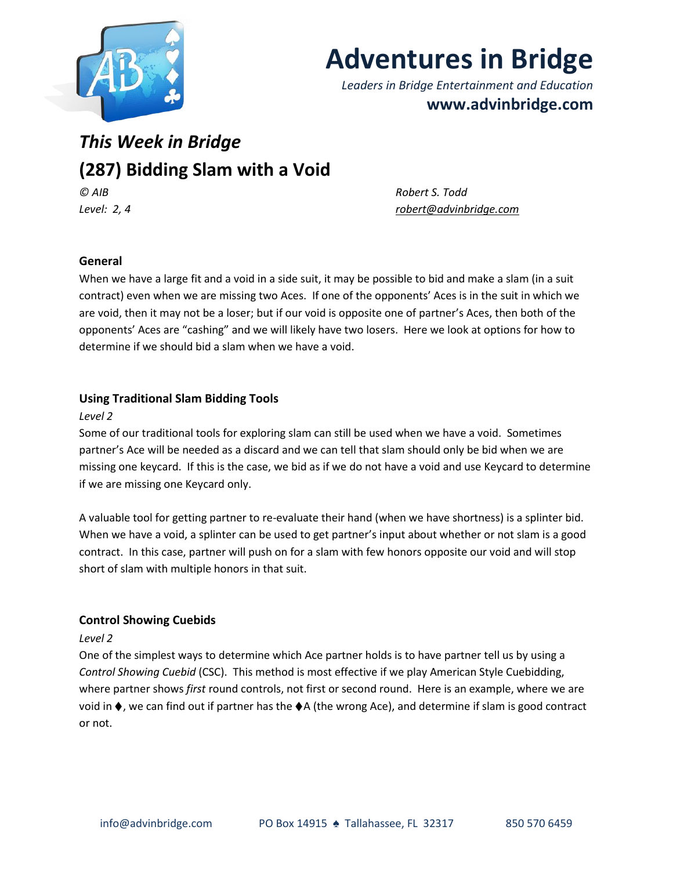

# **Adventures in Bridge**

*Leaders in Bridge Entertainment and Education* **www.advinbridge.com**

# *This Week in Bridge* **(287) Bidding Slam with a Void** *© AIB Robert S. Todd*

*Level: 2, 4 [robert@advinbridge.com](mailto:robert@advinbridge.com)* 

# **General**

When we have a large fit and a void in a side suit, it may be possible to bid and make a slam (in a suit contract) even when we are missing two Aces. If one of the opponents' Aces is in the suit in which we are void, then it may not be a loser; but if our void is opposite one of partner's Aces, then both of the opponents' Aces are "cashing" and we will likely have two losers. Here we look at options for how to determine if we should bid a slam when we have a void.

# **Using Traditional Slam Bidding Tools**

#### *Level 2*

Some of our traditional tools for exploring slam can still be used when we have a void. Sometimes partner's Ace will be needed as a discard and we can tell that slam should only be bid when we are missing one keycard. If this is the case, we bid as if we do not have a void and use Keycard to determine if we are missing one Keycard only.

A valuable tool for getting partner to re-evaluate their hand (when we have shortness) is a splinter bid. When we have a void, a splinter can be used to get partner's input about whether or not slam is a good contract. In this case, partner will push on for a slam with few honors opposite our void and will stop short of slam with multiple honors in that suit.

# **Control Showing Cuebids**

#### *Level 2*

One of the simplest ways to determine which Ace partner holds is to have partner tell us by using a *Control Showing Cuebid* (CSC). This method is most effective if we play American Style Cuebidding, where partner shows *first* round controls, not first or second round. Here is an example, where we are void in ♦, we can find out if partner has the ♦A (the wrong Ace), and determine if slam is good contract or not.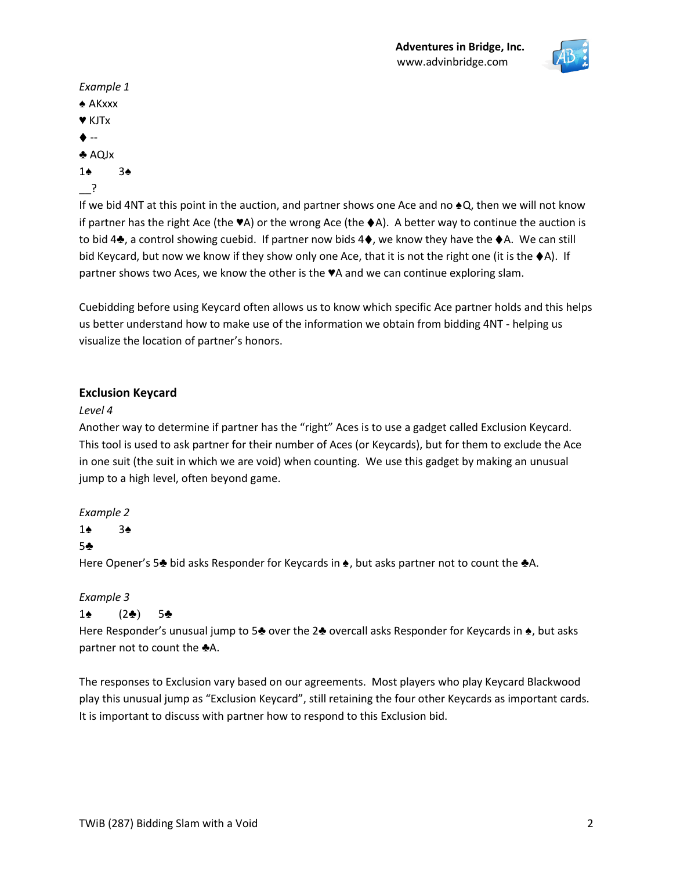

```
Example 1
♠ AKxxx
♥ KJTx
\blacklozenge --
♣ AQJx 
1♠ 3♠
__?
```
If we bid 4NT at this point in the auction, and partner shows one Ace and no ♠Q, then we will not know if partner has the right Ace (the  $\Psi$ A) or the wrong Ace (the  $\blacklozenge$ A). A better way to continue the auction is to bid 4♣, a control showing cuebid. If partner now bids 4♦, we know they have the ♦A. We can still bid Keycard, but now we know if they show only one Ace, that it is not the right one (it is the ♦A). If partner shows two Aces, we know the other is the ♥A and we can continue exploring slam.

Cuebidding before using Keycard often allows us to know which specific Ace partner holds and this helps us better understand how to make use of the information we obtain from bidding 4NT - helping us visualize the location of partner's honors.

#### **Exclusion Keycard**

#### *Level 4*

Another way to determine if partner has the "right" Aces is to use a gadget called Exclusion Keycard. This tool is used to ask partner for their number of Aces (or Keycards), but for them to exclude the Ace in one suit (the suit in which we are void) when counting. We use this gadget by making an unusual jump to a high level, often beyond game.

#### *Example 2*

1♠ 3♠

#### 5♣

Here Opener's 5♣ bid asks Responder for Keycards in ♠, but asks partner not to count the ♣A.

#### *Example 3*

#### 1♠ (2♣) 5♣

Here Responder's unusual jump to 5♣ over the 2♣ overcall asks Responder for Keycards in ♠, but asks partner not to count the **♣**A.

The responses to Exclusion vary based on our agreements. Most players who play Keycard Blackwood play this unusual jump as "Exclusion Keycard", still retaining the four other Keycards as important cards. It is important to discuss with partner how to respond to this Exclusion bid.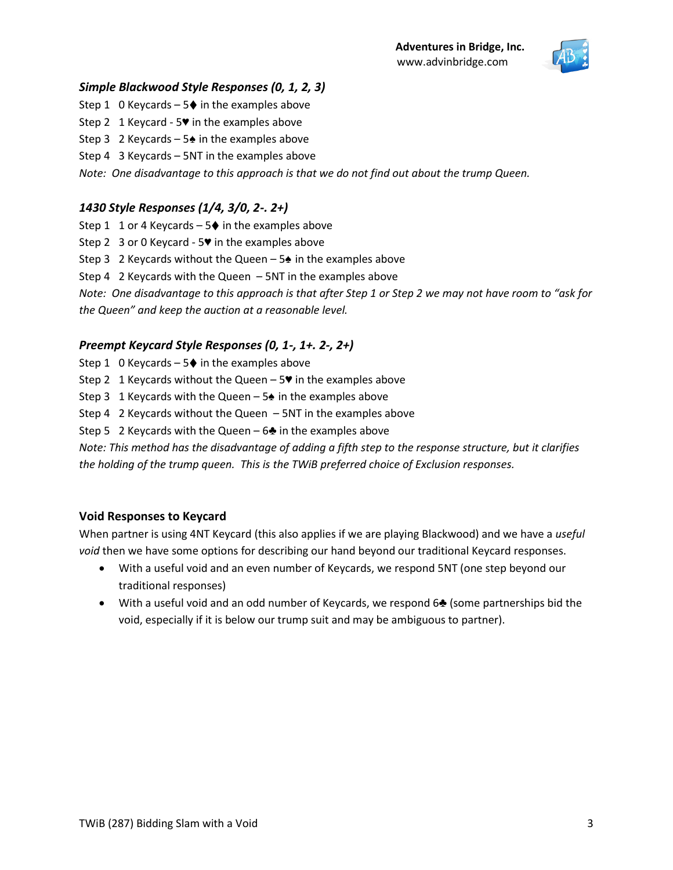

#### *Simple Blackwood Style Responses (0, 1, 2, 3)*

Step 1 0 Keycards –  $5\blacklozenge$  in the examples above

Step 2 1 Keycard - 5♥ in the examples above

Step 3 2 Keycards –  $5\triangleq$  in the examples above

Step 4 3 Keycards – 5NT in the examples above

*Note: One disadvantage to this approach is that we do not find out about the trump Queen.* 

# *1430 Style Responses (1/4, 3/0, 2-. 2+)*

Step 1 1 or 4 Keycards –  $5\blacklozenge$  in the examples above

Step 2 3 or 0 Keycard - 5♥ in the examples above

Step 3 2 Keycards without the Queen –  $5\triangleq$  in the examples above

Step 4 2 Keycards with the Queen – 5NT in the examples above

*Note: One disadvantage to this approach is that after Step 1 or Step 2 we may not have room to "ask for the Queen" and keep the auction at a reasonable level.* 

# *Preempt Keycard Style Responses (0, 1-, 1+. 2-, 2+)*

Step 1 0 Keycards –  $5\blacklozenge$  in the examples above

Step 2 1 Keycards without the Queen  $-5$  in the examples above

Step 3 1 Keycards with the Queen –  $5\spadesuit$  in the examples above

Step 4 2 Keycards without the Queen – 5NT in the examples above

Step 5 2 Keycards with the Queen –  $6\clubsuit$  in the examples above

*Note: This method has the disadvantage of adding a fifth step to the response structure, but it clarifies the holding of the trump queen. This is the TWiB preferred choice of Exclusion responses.* 

# **Void Responses to Keycard**

When partner is using 4NT Keycard (this also applies if we are playing Blackwood) and we have a *useful void* then we have some options for describing our hand beyond our traditional Keycard responses.

- With a useful void and an even number of Keycards, we respond 5NT (one step beyond our traditional responses)
- With a useful void and an odd number of Keycards, we respond 6♣ (some partnerships bid the void, especially if it is below our trump suit and may be ambiguous to partner).